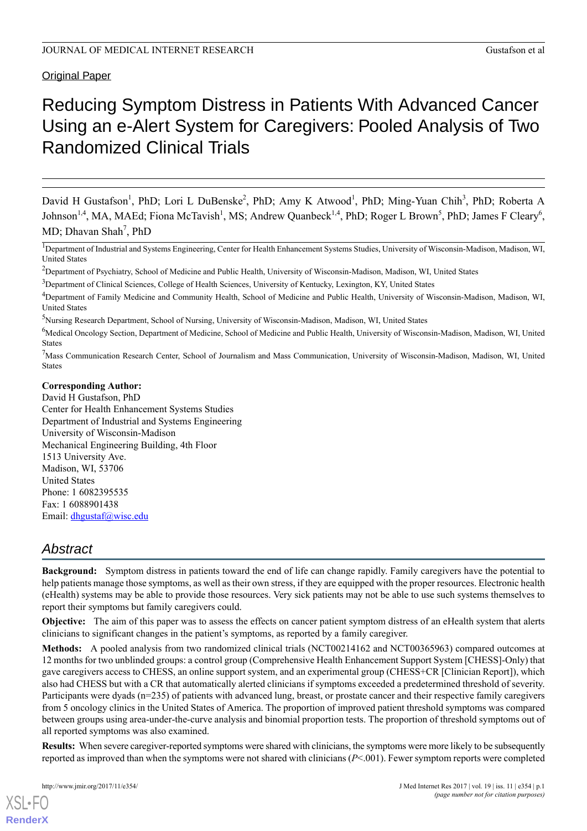### **Original Paper**

# Reducing Symptom Distress in Patients With Advanced Cancer Using an e-Alert System for Caregivers: Pooled Analysis of Two Randomized Clinical Trials

David H Gustafson<sup>1</sup>, PhD; Lori L DuBenske<sup>2</sup>, PhD; Amy K Atwood<sup>1</sup>, PhD; Ming-Yuan Chih<sup>3</sup>, PhD; Roberta A Johnson<sup>1,4</sup>, MA, MAEd; Fiona McTavish<sup>1</sup>, MS; Andrew Quanbeck<sup>1,4</sup>, PhD; Roger L Brown<sup>5</sup>, PhD; James F Cleary<sup>6</sup>, MD; Dhavan Shah<sup>7</sup>, PhD

<sup>1</sup>Department of Industrial and Systems Engineering, Center for Health Enhancement Systems Studies, University of Wisconsin-Madison, Madison, WI, United States

<sup>5</sup>Nursing Research Department, School of Nursing, University of Wisconsin-Madison, Madison, WI, United States

<sup>6</sup>Medical Oncology Section, Department of Medicine, School of Medicine and Public Health, University of Wisconsin-Madison, Madison, WI, United **States** 

<sup>7</sup>Mass Communication Research Center, School of Journalism and Mass Communication, University of Wisconsin-Madison, Madison, WI, United States

#### **Corresponding Author:**

David H Gustafson, PhD Center for Health Enhancement Systems Studies Department of Industrial and Systems Engineering University of Wisconsin-Madison Mechanical Engineering Building, 4th Floor 1513 University Ave. Madison, WI, 53706 United States Phone: 1 6082395535 Fax: 1 6088901438 Email: [dhgustaf@wisc.edu](mailto:dhgustaf@wisc.edu)

# *Abstract*

**Background:** Symptom distress in patients toward the end of life can change rapidly. Family caregivers have the potential to help patients manage those symptoms, as well as their own stress, if they are equipped with the proper resources. Electronic health (eHealth) systems may be able to provide those resources. Very sick patients may not be able to use such systems themselves to report their symptoms but family caregivers could.

**Objective:** The aim of this paper was to assess the effects on cancer patient symptom distress of an eHealth system that alerts clinicians to significant changes in the patient's symptoms, as reported by a family caregiver.

**Methods:** A pooled analysis from two randomized clinical trials (NCT00214162 and NCT00365963) compared outcomes at 12 months for two unblinded groups: a control group (Comprehensive Health Enhancement Support System [CHESS]-Only) that gave caregivers access to CHESS, an online support system, and an experimental group (CHESS+CR [Clinician Report]), which also had CHESS but with a CR that automatically alerted clinicians if symptoms exceeded a predetermined threshold of severity. Participants were dyads (n=235) of patients with advanced lung, breast, or prostate cancer and their respective family caregivers from 5 oncology clinics in the United States of America. The proportion of improved patient threshold symptoms was compared between groups using area-under-the-curve analysis and binomial proportion tests. The proportion of threshold symptoms out of all reported symptoms was also examined.

**Results:** When severe caregiver-reported symptoms were shared with clinicians, the symptoms were more likely to be subsequently reported as improved than when the symptoms were not shared with clinicians (*P*<.001). Fewer symptom reports were completed

<sup>&</sup>lt;sup>2</sup>Department of Psychiatry, School of Medicine and Public Health, University of Wisconsin-Madison, Madison, WI, United States

<sup>&</sup>lt;sup>3</sup>Department of Clinical Sciences, College of Health Sciences, University of Kentucky, Lexington, KY, United States

<sup>4</sup>Department of Family Medicine and Community Health, School of Medicine and Public Health, University of Wisconsin-Madison, Madison, WI, United States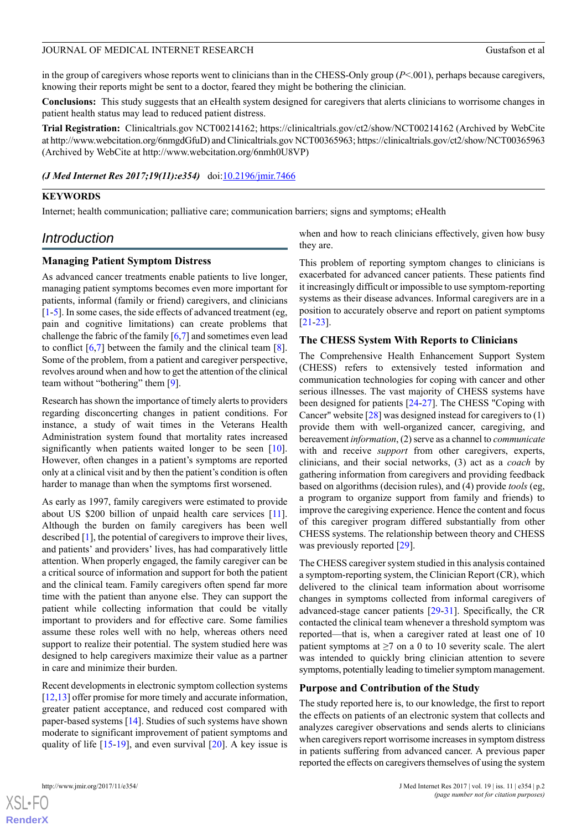in the group of caregivers whose reports went to clinicians than in the CHESS-Only group (*P*<.001), perhaps because caregivers, knowing their reports might be sent to a doctor, feared they might be bothering the clinician.

**Conclusions:** This study suggests that an eHealth system designed for caregivers that alerts clinicians to worrisome changes in patient health status may lead to reduced patient distress.

**Trial Registration:** Clinicaltrials.gov NCT00214162; https://clinicaltrials.gov/ct2/show/NCT00214162 (Archived by WebCite at http://www.webcitation.org/6nmgdGfuD) and Clinicaltrials.gov NCT00365963; https://clinicaltrials.gov/ct2/show/NCT00365963 (Archived by WebCite at http://www.webcitation.org/6nmh0U8VP)

#### *(J Med Internet Res 2017;19(11):e354)* doi: $10.2196/$ jmir.7466

#### **KEYWORDS**

Internet; health communication; palliative care; communication barriers; signs and symptoms; eHealth

# *Introduction*

#### **Managing Patient Symptom Distress**

As advanced cancer treatments enable patients to live longer, managing patient symptoms becomes even more important for patients, informal (family or friend) caregivers, and clinicians [[1](#page-8-0)[-5](#page-8-1)]. In some cases, the side effects of advanced treatment (eg, pain and cognitive limitations) can create problems that challenge the fabric of the family [\[6](#page-8-2),[7\]](#page-8-3) and sometimes even lead to conflict  $[6,7]$  $[6,7]$  $[6,7]$  between the family and the clinical team  $[8]$  $[8]$ . Some of the problem, from a patient and caregiver perspective, revolves around when and how to get the attention of the clinical team without "bothering" them [[9\]](#page-8-5).

Research has shown the importance of timely alerts to providers regarding disconcerting changes in patient conditions. For instance, a study of wait times in the Veterans Health Administration system found that mortality rates increased significantly when patients waited longer to be seen [[10\]](#page-8-6). However, often changes in a patient's symptoms are reported only at a clinical visit and by then the patient's condition is often harder to manage than when the symptoms first worsened.

As early as 1997, family caregivers were estimated to provide about US \$200 billion of unpaid health care services [\[11\]](#page-9-0). Although the burden on family caregivers has been well described [\[1](#page-8-0)], the potential of caregivers to improve their lives, and patients' and providers' lives, has had comparatively little attention. When properly engaged, the family caregiver can be a critical source of information and support for both the patient and the clinical team. Family caregivers often spend far more time with the patient than anyone else. They can support the patient while collecting information that could be vitally important to providers and for effective care. Some families assume these roles well with no help, whereas others need support to realize their potential. The system studied here was designed to help caregivers maximize their value as a partner in care and minimize their burden.

Recent developments in electronic symptom collection systems [[12,](#page-9-1)[13](#page-9-2)] offer promise for more timely and accurate information, greater patient acceptance, and reduced cost compared with paper-based systems [\[14](#page-9-3)]. Studies of such systems have shown moderate to significant improvement of patient symptoms and quality of life  $[15-19]$  $[15-19]$  $[15-19]$ , and even survival  $[20]$  $[20]$ . A key issue is when and how to reach clinicians effectively, given how busy they are.

This problem of reporting symptom changes to clinicians is exacerbated for advanced cancer patients. These patients find it increasingly difficult or impossible to use symptom-reporting systems as their disease advances. Informal caregivers are in a position to accurately observe and report on patient symptoms [[21](#page-9-7)[-23](#page-9-8)].

#### **The CHESS System With Reports to Clinicians**

The Comprehensive Health Enhancement Support System (CHESS) refers to extensively tested information and communication technologies for coping with cancer and other serious illnesses. The vast majority of CHESS systems have been designed for patients [[24](#page-9-9)[-27](#page-9-10)]. The CHESS "Coping with Cancer" website [[28\]](#page-9-11) was designed instead for caregivers to (1) provide them with well-organized cancer, caregiving, and bereavement *information*, (2) serve as a channel to *communicate* with and receive *support* from other caregivers, experts, clinicians, and their social networks, (3) act as a *coach* by gathering information from caregivers and providing feedback based on algorithms (decision rules), and (4) provide *tools* (eg, a program to organize support from family and friends) to improve the caregiving experience. Hence the content and focus of this caregiver program differed substantially from other CHESS systems. The relationship between theory and CHESS was previously reported [[29\]](#page-9-12).

The CHESS caregiver system studied in this analysis contained a symptom-reporting system, the Clinician Report (CR), which delivered to the clinical team information about worrisome changes in symptoms collected from informal caregivers of advanced-stage cancer patients [\[29](#page-9-12)[-31](#page-10-0)]. Specifically, the CR contacted the clinical team whenever a threshold symptom was reported—that is, when a caregiver rated at least one of 10 patient symptoms at  $\geq 7$  on a 0 to 10 severity scale. The alert was intended to quickly bring clinician attention to severe symptoms, potentially leading to timelier symptom management.

#### **Purpose and Contribution of the Study**

The study reported here is, to our knowledge, the first to report the effects on patients of an electronic system that collects and analyzes caregiver observations and sends alerts to clinicians when caregivers report worrisome increases in symptom distress in patients suffering from advanced cancer. A previous paper reported the effects on caregivers themselves of using the system



 $XS$  $\cdot$ FC **[RenderX](http://www.renderx.com/)**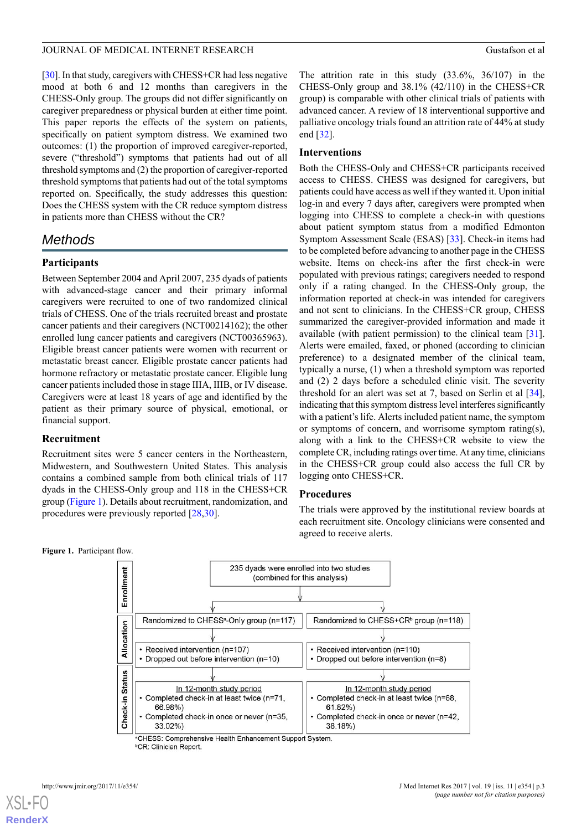[[30\]](#page-9-13). In that study, caregivers with CHESS+CR had less negative mood at both 6 and 12 months than caregivers in the CHESS-Only group. The groups did not differ significantly on caregiver preparedness or physical burden at either time point. This paper reports the effects of the system on patients, specifically on patient symptom distress. We examined two outcomes: (1) the proportion of improved caregiver-reported, severe ("threshold") symptoms that patients had out of all threshold symptoms and (2) the proportion of caregiver-reported threshold symptoms that patients had out of the total symptoms reported on. Specifically, the study addresses this question: Does the CHESS system with the CR reduce symptom distress in patients more than CHESS without the CR?

# *Methods*

# **Participants**

Between September 2004 and April 2007, 235 dyads of patients with advanced-stage cancer and their primary informal caregivers were recruited to one of two randomized clinical trials of CHESS. One of the trials recruited breast and prostate cancer patients and their caregivers (NCT00214162); the other enrolled lung cancer patients and caregivers (NCT00365963). Eligible breast cancer patients were women with recurrent or metastatic breast cancer. Eligible prostate cancer patients had hormone refractory or metastatic prostate cancer. Eligible lung cancer patients included those in stage IIIA, IIIB, or IV disease. Caregivers were at least 18 years of age and identified by the patient as their primary source of physical, emotional, or financial support.

# **Recruitment**

**Figure 1.** Participant flow.

<span id="page-2-0"></span>Recruitment sites were 5 cancer centers in the Northeastern, Midwestern, and Southwestern United States. This analysis contains a combined sample from both clinical trials of 117 dyads in the CHESS-Only group and 118 in the CHESS+CR group ([Figure 1\)](#page-2-0). Details about recruitment, randomization, and procedures were previously reported [[28,](#page-9-11)[30](#page-9-13)].

The attrition rate in this study (33.6%, 36/107) in the CHESS-Only group and 38.1% (42/110) in the CHESS+CR group) is comparable with other clinical trials of patients with advanced cancer. A review of 18 interventional supportive and palliative oncology trials found an attrition rate of 44% at study end [[32\]](#page-10-1).

# **Interventions**

Both the CHESS-Only and CHESS+CR participants received access to CHESS. CHESS was designed for caregivers, but patients could have access as well if they wanted it. Upon initial log-in and every 7 days after, caregivers were prompted when logging into CHESS to complete a check-in with questions about patient symptom status from a modified Edmonton Symptom Assessment Scale (ESAS) [\[33](#page-10-2)]. Check-in items had to be completed before advancing to another page in the CHESS website. Items on check-ins after the first check-in were populated with previous ratings; caregivers needed to respond only if a rating changed. In the CHESS-Only group, the information reported at check-in was intended for caregivers and not sent to clinicians. In the CHESS+CR group, CHESS summarized the caregiver-provided information and made it available (with patient permission) to the clinical team [[31\]](#page-10-0). Alerts were emailed, faxed, or phoned (according to clinician preference) to a designated member of the clinical team, typically a nurse, (1) when a threshold symptom was reported and (2) 2 days before a scheduled clinic visit. The severity threshold for an alert was set at 7, based on Serlin et al [[34\]](#page-10-3), indicating that this symptom distress level interferes significantly with a patient's life. Alerts included patient name, the symptom or symptoms of concern, and worrisome symptom rating(s), along with a link to the CHESS+CR website to view the complete CR, including ratings over time. At any time, clinicians in the CHESS+CR group could also access the full CR by logging onto CHESS+CR.

# **Procedures**

The trials were approved by the institutional review boards at each recruitment site. Oncology clinicians were consented and agreed to receive alerts.



<sup>a</sup>CHESS: Comprehensive Health Enhancement Support System. <sup>b</sup>CR: Clinician Report.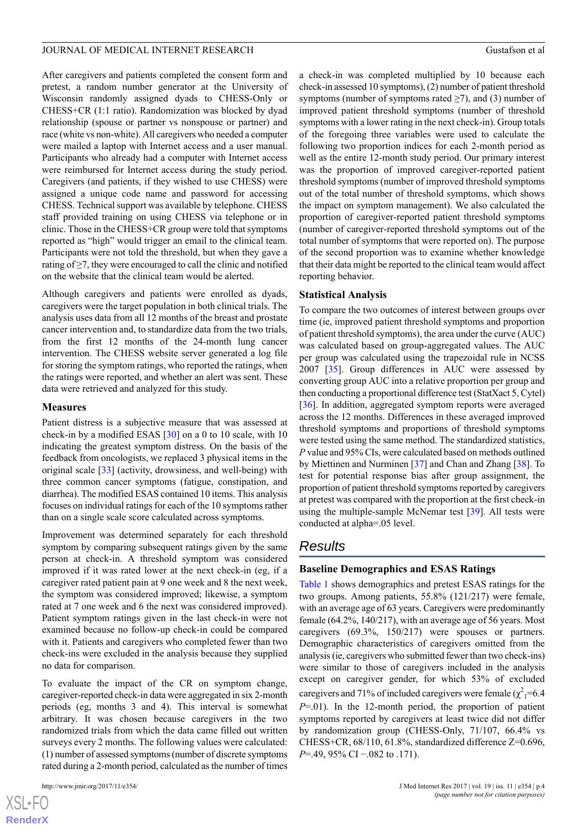After caregivers and patients completed the consent form and pretest, a random number generator at the University of Wisconsin randomly assigned dyads to CHESS-Only or CHESS+CR (1:1 ratio). Randomization was blocked by dyad relationship (spouse or partner vs nonspouse or partner) and race (white vs non-white). All caregivers who needed a computer were mailed a laptop with Internet access and a user manual. Participants who already had a computer with Internet access were reimbursed for Internet access during the study period. Caregivers (and patients, if they wished to use CHESS) were assigned a unique code name and password for accessing CHESS. Technical support was available by telephone. CHESS staff provided training on using CHESS via telephone or in clinic. Those in the CHESS+CR group were told that symptoms reported as "high" would trigger an email to the clinical team. Participants were not told the threshold, but when they gave a rating of ≥7, they were encouraged to call the clinic and notified on the website that the clinical team would be alerted.

Although caregivers and patients were enrolled as dyads, caregivers were the target population in both clinical trials. The analysis uses data from all 12 months of the breast and prostate cancer intervention and, to standardize data from the two trials, from the first 12 months of the 24-month lung cancer intervention. The CHESS website server generated a log file for storing the symptom ratings, who reported the ratings, when the ratings were reported, and whether an alert was sent. These data were retrieved and analyzed for this study.

#### **Measures**

Patient distress is a subjective measure that was assessed at check-in by a modified ESAS [[30\]](#page-9-13) on a 0 to 10 scale, with 10 indicating the greatest symptom distress. On the basis of the feedback from oncologists, we replaced 3 physical items in the original scale [[33\]](#page-10-2) (activity, drowsiness, and well-being) with three common cancer symptoms (fatigue, constipation, and diarrhea). The modified ESAS contained 10 items. This analysis focuses on individual ratings for each of the 10 symptoms rather than on a single scale score calculated across symptoms.

Improvement was determined separately for each threshold symptom by comparing subsequent ratings given by the same person at check-in. A threshold symptom was considered improved if it was rated lower at the next check-in (eg, if a caregiver rated patient pain at 9 one week and 8 the next week, the symptom was considered improved; likewise, a symptom rated at 7 one week and 6 the next was considered improved). Patient symptom ratings given in the last check-in were not examined because no follow-up check-in could be compared with it. Patients and caregivers who completed fewer than two check-ins were excluded in the analysis because they supplied no data for comparison.

To evaluate the impact of the CR on symptom change, caregiver-reported check-in data were aggregated in six 2-month periods (eg, months 3 and 4). This interval is somewhat arbitrary. It was chosen because caregivers in the two randomized trials from which the data came filled out written surveys every 2 months. The following values were calculated: (1) number of assessed symptoms (number of discrete symptoms rated during a 2-month period, calculated as the number of times

[XSL](http://www.w3.org/Style/XSL)•FO **[RenderX](http://www.renderx.com/)** a check-in was completed multiplied by 10 because each check-in assessed 10 symptoms), (2) number of patient threshold symptoms (number of symptoms rated  $\geq$ 7), and (3) number of improved patient threshold symptoms (number of threshold symptoms with a lower rating in the next check-in). Group totals of the foregoing three variables were used to calculate the following two proportion indices for each 2-month period as well as the entire 12-month study period. Our primary interest was the proportion of improved caregiver-reported patient threshold symptoms (number of improved threshold symptoms out of the total number of threshold symptoms, which shows the impact on symptom management). We also calculated the proportion of caregiver-reported patient threshold symptoms (number of caregiver-reported threshold symptoms out of the total number of symptoms that were reported on). The purpose of the second proportion was to examine whether knowledge that their data might be reported to the clinical team would affect reporting behavior.

#### **Statistical Analysis**

To compare the two outcomes of interest between groups over time (ie, improved patient threshold symptoms and proportion of patient threshold symptoms), the area under the curve (AUC) was calculated based on group-aggregated values. The AUC per group was calculated using the trapezoidal rule in NCSS 2007 [[35\]](#page-10-4). Group differences in AUC were assessed by converting group AUC into a relative proportion per group and then conducting a proportional difference test (StatXact 5, Cytel) [[36\]](#page-10-5). In addition, aggregated symptom reports were averaged across the 12 months. Differences in these averaged improved threshold symptoms and proportions of threshold symptoms were tested using the same method. The standardized statistics, *P* value and 95% CIs, were calculated based on methods outlined by Miettinen and Nurminen [\[37](#page-10-6)] and Chan and Zhang [\[38](#page-10-7)]. To test for potential response bias after group assignment, the proportion of patient threshold symptoms reported by caregivers at pretest was compared with the proportion at the first check-in using the multiple-sample McNemar test [[39\]](#page-10-8). All tests were conducted at alpha=.05 level.

# *Results*

#### **Baseline Demographics and ESAS Ratings**

[Table 1](#page-4-0) shows demographics and pretest ESAS ratings for the two groups. Among patients, 55.8% (121/217) were female, with an average age of 63 years. Caregivers were predominantly female (64.2%, 140/217), with an average age of 56 years. Most caregivers (69.3%, 150/217) were spouses or partners. Demographic characteristics of caregivers omitted from the analysis (ie, caregivers who submitted fewer than two check-ins) were similar to those of caregivers included in the analysis except on caregiver gender, for which 53% of excluded caregivers and 71% of included caregivers were female  $(\chi^2)$ =6.4 *P*=.01). In the 12-month period, the proportion of patient symptoms reported by caregivers at least twice did not differ by randomization group (CHESS-Only, 71/107, 66.4% vs CHESS+CR, 68/110, 61.8%, standardized difference Z=0.696, *P*=.49, 95% CI −.082 to .171).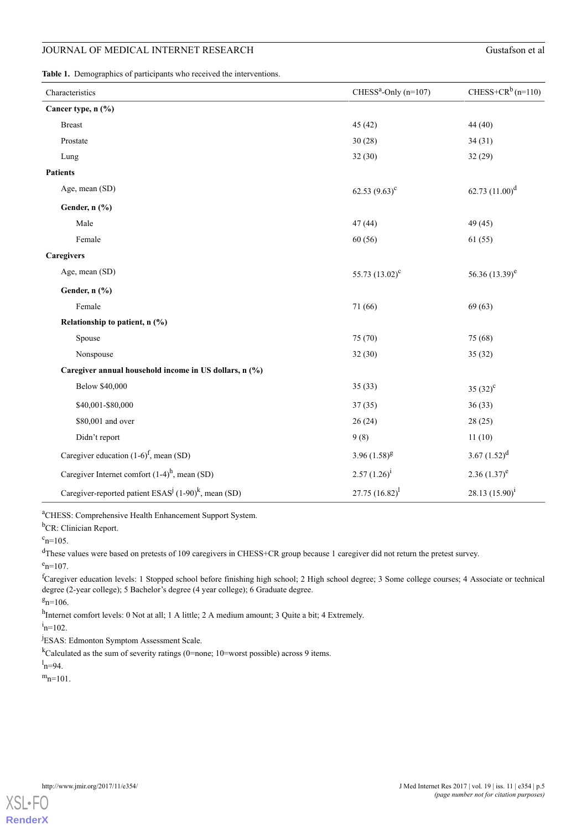<span id="page-4-0"></span>**Table 1.** Demographics of participants who received the interventions.

| Characteristics                                        | $CHESSa$ -Only (n=107) | CHESS+CR <sup>b</sup> (n=110) |
|--------------------------------------------------------|------------------------|-------------------------------|
| Cancer type, n (%)                                     |                        |                               |
| <b>Breast</b>                                          | 45(42)                 | 44 (40)                       |
| Prostate                                               | 30(28)                 | 34(31)                        |
| Lung                                                   | 32(30)                 | 32(29)                        |
| <b>Patients</b>                                        |                        |                               |
| Age, mean (SD)                                         | 62.53 $(9.63)^{c}$     | 62.73 $(11.00)^d$             |
| Gender, n (%)                                          |                        |                               |
| Male                                                   | 47(44)                 | 49 (45)                       |
| Female                                                 | 60(56)                 | 61(55)                        |
| <b>Caregivers</b>                                      |                        |                               |
| Age, mean (SD)                                         | 55.73 $(13.02)^c$      | 56.36 $(13.39)^e$             |
| Gender, n (%)                                          |                        |                               |
| Female                                                 | 71 (66)                | 69(63)                        |
| Relationship to patient, n (%)                         |                        |                               |
| Spouse                                                 | 75 (70)                | 75 (68)                       |
| Nonspouse                                              | 32(30)                 | 35(32)                        |
| Caregiver annual household income in US dollars, n (%) |                        |                               |
| <b>Below \$40,000</b>                                  | 35(33)                 | $35(32)^{c}$                  |
| \$40,001-\$80,000                                      | 37(35)                 | 36(33)                        |
| \$80,001 and over                                      | 26(24)                 | 28(25)                        |
| Didn't report                                          | 9(8)                   | 11(10)                        |
| Caregiver education $(1-6)^f$ , mean (SD)              | $3.96(1.58)^8$         | 3.67 $(1.52)^d$               |
| Caregiver Internet comfort $(1-4)^h$ , mean (SD)       | $2.57(1.26)^{i}$       | $2.36(1.37)^e$                |
| Caregiver-reported patient $ESASj (1-90)k$ , mean (SD) | 27.75 $(16.82)^{1}$    | 28.13 $(15.90)^{i}$           |

<sup>a</sup>CHESS: Comprehensive Health Enhancement Support System.

<sup>b</sup>CR: Clinician Report.

 $c_{n=105}$ .

<sup>d</sup>These values were based on pretests of 109 caregivers in CHESS+CR group because 1 caregiver did not return the pretest survey.

 $e_{n=107}$ 

<sup>f</sup>Caregiver education levels: 1 Stopped school before finishing high school; 2 High school degree; 3 Some college courses; 4 Associate or technical degree (2-year college); 5 Bachelor's degree (4 year college); 6 Graduate degree.

 $g_{n=106}$ 

h<sub>Internet comfort levels: 0 Not at all; 1 A little; 2 A medium amount; 3 Quite a bit; 4 Extremely.</sub>

 $i_{\rm n=102}$ .

<sup>j</sup>ESAS: Edmonton Symptom Assessment Scale.

 $k$ Calculated as the sum of severity ratings (0=none; 10=worst possible) across 9 items.

 $l_{\rm n=94}$ .

 $m_{n=101}$ .

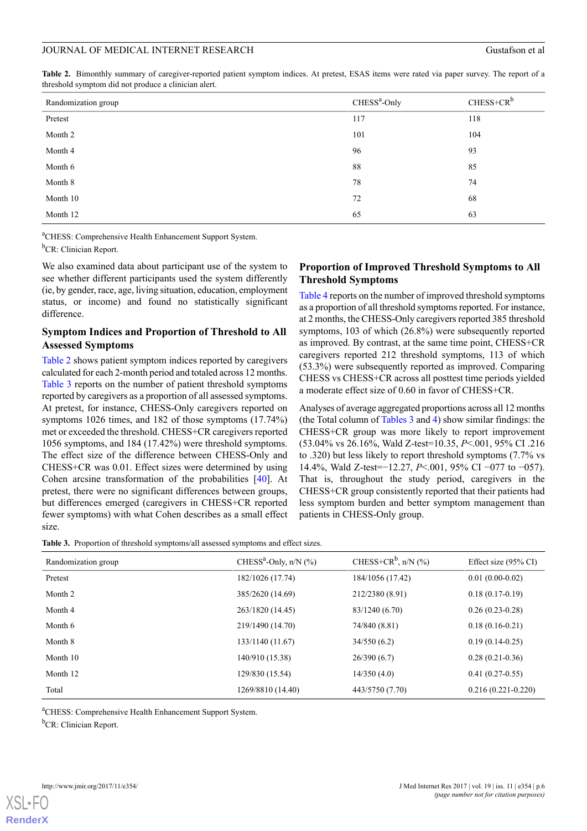<span id="page-5-0"></span>**Table 2.** Bimonthly summary of caregiver-reported patient symptom indices. At pretest, ESAS items were rated via paper survey. The report of a threshold symptom did not produce a clinician alert.

| Randomization group | $CHESSa$ -Only | $CHESS+CR^b$ |
|---------------------|----------------|--------------|
| Pretest             | 117            | 118          |
| Month 2             | 101            | 104          |
| Month 4             | 96             | 93           |
| Month 6             | 88             | 85           |
| Month 8             | 78             | 74           |
| Month 10            | 72             | 68           |
| Month 12            | 65             | 63           |

<sup>a</sup>CHESS: Comprehensive Health Enhancement Support System.

<sup>b</sup>CR: Clinician Report.

We also examined data about participant use of the system to see whether different participants used the system differently (ie, by gender, race, age, living situation, education, employment status, or income) and found no statistically significant difference.

# **Symptom Indices and Proportion of Threshold to All Assessed Symptoms**

[Table 2](#page-5-0) shows patient symptom indices reported by caregivers calculated for each 2-month period and totaled across 12 months. [Table 3](#page-5-1) reports on the number of patient threshold symptoms reported by caregivers as a proportion of all assessed symptoms. At pretest, for instance, CHESS-Only caregivers reported on symptoms 1026 times, and 182 of those symptoms (17.74%) met or exceeded the threshold. CHESS+CR caregivers reported 1056 symptoms, and 184 (17.42%) were threshold symptoms. The effect size of the difference between CHESS-Only and CHESS+CR was 0.01. Effect sizes were determined by using Cohen arcsine transformation of the probabilities [[40\]](#page-10-9). At pretest, there were no significant differences between groups, but differences emerged (caregivers in CHESS+CR reported fewer symptoms) with what Cohen describes as a small effect size.

# **Proportion of Improved Threshold Symptoms to All Threshold Symptoms**

[Table 4](#page-6-0) reports on the number of improved threshold symptoms as a proportion of all threshold symptoms reported. For instance, at 2 months, the CHESS-Only caregivers reported 385 threshold symptoms, 103 of which (26.8%) were subsequently reported as improved. By contrast, at the same time point, CHESS+CR caregivers reported 212 threshold symptoms, 113 of which (53.3%) were subsequently reported as improved. Comparing CHESS vs CHESS+CR across all posttest time periods yielded a moderate effect size of 0.60 in favor of CHESS+CR.

Analyses of average aggregated proportions across all 12 months (the Total column of [Tables 3](#page-5-1) and [4\)](#page-6-0) show similar findings: the CHESS+CR group was more likely to report improvement (53.04% vs 26.16%, Wald Z-test=10.35, *P*<.001, 95% CI .216 to .320) but less likely to report threshold symptoms (7.7% vs 14.4%, Wald Z-test=−12.27, *P*<.001, 95% CI −077 to −057). That is, throughout the study period, caregivers in the CHESS+CR group consistently reported that their patients had less symptom burden and better symptom management than patients in CHESS-Only group.

<span id="page-5-1"></span>**Table 3.** Proportion of threshold symptoms/all assessed symptoms and effect sizes.

| Randomization group | CHESS <sup>a</sup> -Only, $n/N$ (%) | CHESS+CR <sup>b</sup> , n/N $(\%$ ) |                      |
|---------------------|-------------------------------------|-------------------------------------|----------------------|
| Pretest             | 182/1026 (17.74)                    | 184/1056 (17.42)                    | $0.01(0.00-0.02)$    |
| Month 2             | 385/2620 (14.69)                    | 212/2380 (8.91)                     | $0.18(0.17-0.19)$    |
| Month 4             | 263/1820 (14.45)                    | 83/1240 (6.70)                      | $0.26(0.23-0.28)$    |
| Month 6             | 219/1490 (14.70)                    | 74/840 (8.81)                       | $0.18(0.16-0.21)$    |
| Month 8             | 133/1140 (11.67)                    | 34/550(6.2)                         | $0.19(0.14-0.25)$    |
| Month 10            | 140/910 (15.38)                     | 26/390(6.7)                         | $0.28(0.21-0.36)$    |
| Month 12            | 129/830 (15.54)                     | 14/350(4.0)                         | $0.41(0.27-0.55)$    |
| Total               | 1269/8810 (14.40)                   | 443/5750 (7.70)                     | $0.216(0.221-0.220)$ |

<sup>a</sup>CHESS: Comprehensive Health Enhancement Support System.

<sup>b</sup>CR: Clinician Report.

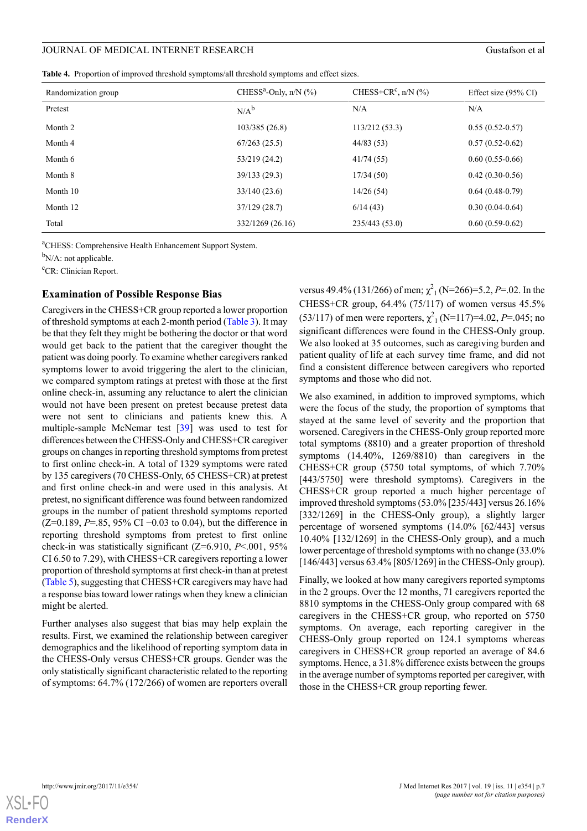<span id="page-6-0"></span>**Table 4.** Proportion of improved threshold symptoms/all threshold symptoms and effect sizes.

| Randomization group | CHESS <sup>a</sup> -Only, $n/N$ (%) | CHESS+CR <sup>c</sup> , n/N $(\%$ ) | Effect size $(95\% \text{ CI})$ |
|---------------------|-------------------------------------|-------------------------------------|---------------------------------|
| Pretest             | $N/A^b$                             | N/A                                 | N/A                             |
| Month 2             | 103/385(26.8)                       | 113/212(53.3)                       | $0.55(0.52-0.57)$               |
| Month 4             | 67/263(25.5)                        | 44/83(53)                           | $0.57(0.52-0.62)$               |
| Month 6             | 53/219 (24.2)                       | 41/74(55)                           | $0.60(0.55-0.66)$               |
| Month 8             | 39/133(29.3)                        | 17/34(50)                           | $0.42(0.30-0.56)$               |
| Month 10            | 33/140(23.6)                        | 14/26(54)                           | $0.64(0.48-0.79)$               |
| Month 12            | 37/129(28.7)                        | 6/14(43)                            | $0.30(0.04-0.64)$               |
| Total               | 332/1269 (26.16)                    | 235/443(53.0)                       | $0.60(0.59-0.62)$               |

<sup>a</sup>CHESS: Comprehensive Health Enhancement Support System.

 $b_{N/A}$ : not applicable.

<sup>c</sup>CR: Clinician Report.

#### **Examination of Possible Response Bias**

Caregivers in the CHESS+CR group reported a lower proportion of threshold symptoms at each 2-month period ([Table 3\)](#page-5-1). It may be that they felt they might be bothering the doctor or that word would get back to the patient that the caregiver thought the patient was doing poorly. To examine whether caregivers ranked symptoms lower to avoid triggering the alert to the clinician, we compared symptom ratings at pretest with those at the first online check-in, assuming any reluctance to alert the clinician would not have been present on pretest because pretest data were not sent to clinicians and patients knew this. A multiple-sample McNemar test [\[39](#page-10-8)] was used to test for differences between the CHESS-Only and CHESS+CR caregiver groups on changes in reporting threshold symptoms from pretest to first online check-in. A total of 1329 symptoms were rated by 135 caregivers (70 CHESS-Only, 65 CHESS+CR) at pretest and first online check-in and were used in this analysis. At pretest, no significant difference was found between randomized groups in the number of patient threshold symptoms reported (Z=0.189, *P*=.85, 95% CI −0.03 to 0.04), but the difference in reporting threshold symptoms from pretest to first online check-in was statistically significant (Z=6.910, *P*<.001, 95% CI 6.50 to 7.29), with CHESS+CR caregivers reporting a lower proportion of threshold symptoms at first check-in than at pretest ([Table 5\)](#page-7-0), suggesting that CHESS+CR caregivers may have had a response bias toward lower ratings when they knew a clinician might be alerted.

Further analyses also suggest that bias may help explain the results. First, we examined the relationship between caregiver demographics and the likelihood of reporting symptom data in the CHESS-Only versus CHESS+CR groups. Gender was the only statistically significant characteristic related to the reporting of symptoms: 64.7% (172/266) of women are reporters overall

versus 49.4% (131/266) of men;  $\chi^2$ <sub>1</sub> (N=266)=5.2, *P*=.02. In the CHESS+CR group, 64.4% (75/117) of women versus 45.5%  $(53/117)$  of men were reporters,  $\chi^2_1$  (N=117)=4.02, *P*=.045; no significant differences were found in the CHESS-Only group. We also looked at 35 outcomes, such as caregiving burden and patient quality of life at each survey time frame, and did not find a consistent difference between caregivers who reported symptoms and those who did not.

We also examined, in addition to improved symptoms, which were the focus of the study, the proportion of symptoms that stayed at the same level of severity and the proportion that worsened. Caregivers in the CHESS-Only group reported more total symptoms (8810) and a greater proportion of threshold symptoms (14.40%, 1269/8810) than caregivers in the CHESS+CR group (5750 total symptoms, of which 7.70% [443/5750] were threshold symptoms). Caregivers in the CHESS+CR group reported a much higher percentage of improved threshold symptoms (53.0% [235/443] versus 26.16% [332/1269] in the CHESS-Only group), a slightly larger percentage of worsened symptoms (14.0% [62/443] versus 10.40% [132/1269] in the CHESS-Only group), and a much lower percentage of threshold symptoms with no change (33.0% [146/443] versus 63.4% [805/1269] in the CHESS-Only group).

Finally, we looked at how many caregivers reported symptoms in the 2 groups. Over the 12 months, 71 caregivers reported the 8810 symptoms in the CHESS-Only group compared with 68 caregivers in the CHESS+CR group, who reported on 5750 symptoms. On average, each reporting caregiver in the CHESS-Only group reported on 124.1 symptoms whereas caregivers in CHESS+CR group reported an average of 84.6 symptoms. Hence, a 31.8% difference exists between the groups in the average number of symptoms reported per caregiver, with those in the CHESS+CR group reporting fewer.

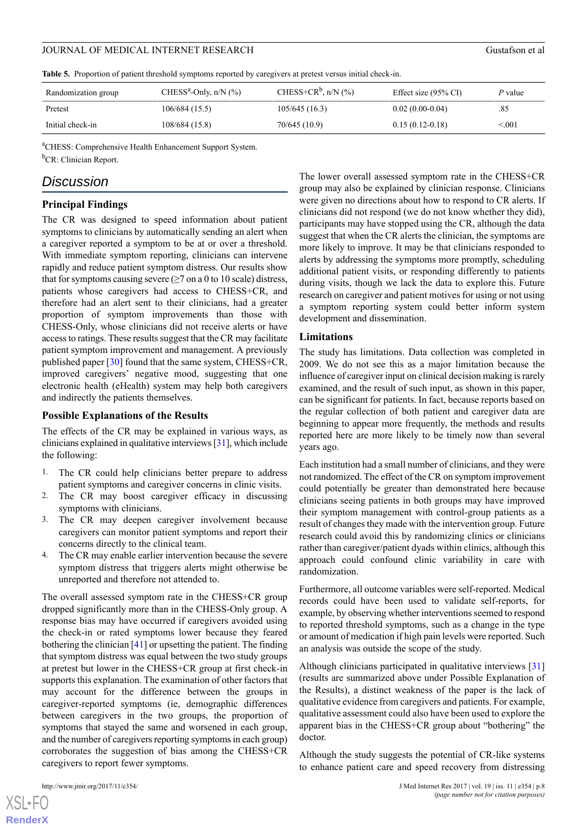<span id="page-7-0"></span>**Table 5.** Proportion of patient threshold symptoms reported by caregivers at pretest versus initial check-in.

| Randomization group | CHESS <sup>a</sup> -Only, n/N $(\% )$ | CHESS+CR <sup>b</sup> , n/N $(\%$ ) | Effect size $(95\% \text{ CI})$ | P value |
|---------------------|---------------------------------------|-------------------------------------|---------------------------------|---------|
| Pretest             | 106/684(15.5)                         | 105/645(16.3)                       | $0.02(0.00-0.04)$               | .85     |
| Initial check-in    | 108/684(15.8)                         | 70/645 (10.9)                       | $0.15(0.12-0.18)$               | < 001   |

<sup>a</sup>CHESS: Comprehensive Health Enhancement Support System. <sup>b</sup>CR: Clinician Report.

# *Discussion*

#### **Principal Findings**

The CR was designed to speed information about patient symptoms to clinicians by automatically sending an alert when a caregiver reported a symptom to be at or over a threshold. With immediate symptom reporting, clinicians can intervene rapidly and reduce patient symptom distress. Our results show that for symptoms causing severe  $(\geq 7$  on a 0 to 10 scale) distress, patients whose caregivers had access to CHESS+CR, and therefore had an alert sent to their clinicians, had a greater proportion of symptom improvements than those with CHESS-Only, whose clinicians did not receive alerts or have access to ratings. These results suggest that the CR may facilitate patient symptom improvement and management. A previously published paper [\[30](#page-9-13)] found that the same system, CHESS+CR, improved caregivers' negative mood, suggesting that one electronic health (eHealth) system may help both caregivers and indirectly the patients themselves.

#### **Possible Explanations of the Results**

The effects of the CR may be explained in various ways, as clinicians explained in qualitative interviews [[31\]](#page-10-0), which include the following:

- 1. The CR could help clinicians better prepare to address patient symptoms and caregiver concerns in clinic visits.
- 2. The CR may boost caregiver efficacy in discussing symptoms with clinicians.
- 3. The CR may deepen caregiver involvement because caregivers can monitor patient symptoms and report their concerns directly to the clinical team.
- 4. The CR may enable earlier intervention because the severe symptom distress that triggers alerts might otherwise be unreported and therefore not attended to.

The overall assessed symptom rate in the CHESS+CR group dropped significantly more than in the CHESS-Only group. A response bias may have occurred if caregivers avoided using the check-in or rated symptoms lower because they feared bothering the clinician [\[41](#page-10-10)] or upsetting the patient. The finding that symptom distress was equal between the two study groups at pretest but lower in the CHESS+CR group at first check-in supports this explanation. The examination of other factors that may account for the difference between the groups in caregiver-reported symptoms (ie, demographic differences between caregivers in the two groups, the proportion of symptoms that stayed the same and worsened in each group, and the number of caregivers reporting symptoms in each group) corroborates the suggestion of bias among the CHESS+CR caregivers to report fewer symptoms.

 $XS$  $\cdot$ FC **[RenderX](http://www.renderx.com/)** The lower overall assessed symptom rate in the CHESS+CR group may also be explained by clinician response. Clinicians were given no directions about how to respond to CR alerts. If clinicians did not respond (we do not know whether they did), participants may have stopped using the CR, although the data suggest that when the CR alerts the clinician, the symptoms are more likely to improve. It may be that clinicians responded to alerts by addressing the symptoms more promptly, scheduling additional patient visits, or responding differently to patients during visits, though we lack the data to explore this. Future research on caregiver and patient motives for using or not using a symptom reporting system could better inform system development and dissemination.

#### **Limitations**

The study has limitations. Data collection was completed in 2009. We do not see this as a major limitation because the influence of caregiver input on clinical decision making is rarely examined, and the result of such input, as shown in this paper, can be significant for patients. In fact, because reports based on the regular collection of both patient and caregiver data are beginning to appear more frequently, the methods and results reported here are more likely to be timely now than several years ago.

Each institution had a small number of clinicians, and they were not randomized. The effect of the CR on symptom improvement could potentially be greater than demonstrated here because clinicians seeing patients in both groups may have improved their symptom management with control-group patients as a result of changes they made with the intervention group. Future research could avoid this by randomizing clinics or clinicians rather than caregiver/patient dyads within clinics, although this approach could confound clinic variability in care with randomization.

Furthermore, all outcome variables were self-reported. Medical records could have been used to validate self-reports, for example, by observing whether interventions seemed to respond to reported threshold symptoms, such as a change in the type or amount of medication if high pain levels were reported. Such an analysis was outside the scope of the study.

Although clinicians participated in qualitative interviews [\[31](#page-10-0)] (results are summarized above under Possible Explanation of the Results), a distinct weakness of the paper is the lack of qualitative evidence from caregivers and patients. For example, qualitative assessment could also have been used to explore the apparent bias in the CHESS+CR group about "bothering" the doctor.

Although the study suggests the potential of CR-like systems to enhance patient care and speed recovery from distressing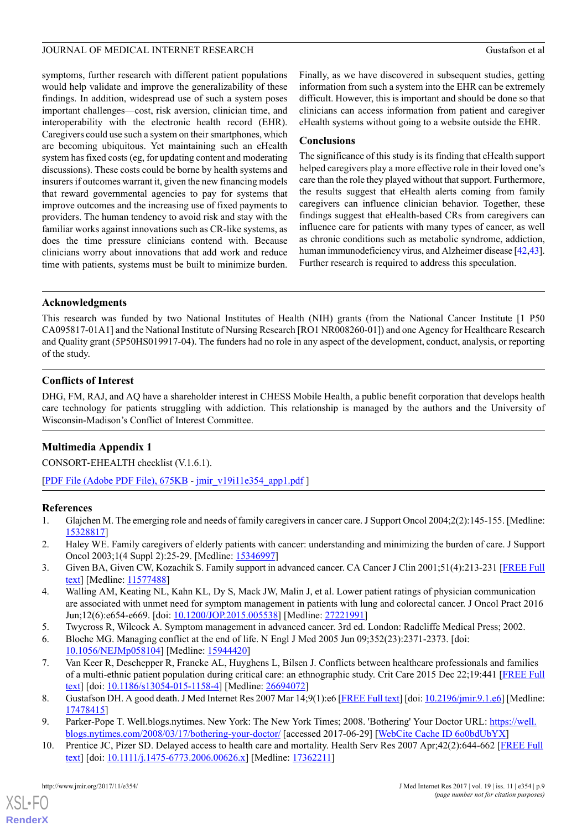symptoms, further research with different patient populations would help validate and improve the generalizability of these findings. In addition, widespread use of such a system poses important challenges—cost, risk aversion, clinician time, and interoperability with the electronic health record (EHR). Caregivers could use such a system on their smartphones, which are becoming ubiquitous. Yet maintaining such an eHealth system has fixed costs (eg, for updating content and moderating discussions). These costs could be borne by health systems and insurers if outcomes warrant it, given the new financing models that reward governmental agencies to pay for systems that improve outcomes and the increasing use of fixed payments to providers. The human tendency to avoid risk and stay with the familiar works against innovations such as CR-like systems, as does the time pressure clinicians contend with. Because clinicians worry about innovations that add work and reduce time with patients, systems must be built to minimize burden.

Finally, as we have discovered in subsequent studies, getting information from such a system into the EHR can be extremely difficult. However, this is important and should be done so that clinicians can access information from patient and caregiver eHealth systems without going to a website outside the EHR.

# **Conclusions**

The significance of this study is its finding that eHealth support helped caregivers play a more effective role in their loved one's care than the role they played without that support. Furthermore, the results suggest that eHealth alerts coming from family caregivers can influence clinician behavior. Together, these findings suggest that eHealth-based CRs from caregivers can influence care for patients with many types of cancer, as well as chronic conditions such as metabolic syndrome, addiction, human immunodeficiency virus, and Alzheimer disease [[42,](#page-10-11)[43](#page-10-12)]. Further research is required to address this speculation.

# **Acknowledgments**

This research was funded by two National Institutes of Health (NIH) grants (from the National Cancer Institute [1 P50 CA095817-01A1] and the National Institute of Nursing Research [RO1 NR008260-01]) and one Agency for Healthcare Research and Quality grant (5P50HS019917-04). The funders had no role in any aspect of the development, conduct, analysis, or reporting of the study.

# **Conflicts of Interest**

DHG, FM, RAJ, and AQ have a shareholder interest in CHESS Mobile Health, a public benefit corporation that develops health care technology for patients struggling with addiction. This relationship is managed by the authors and the University of Wisconsin-Madison's Conflict of Interest Committee.

# **Multimedia Appendix 1**

<span id="page-8-0"></span>CONSORT‐EHEALTH checklist (V.1.6.1).

[[PDF File \(Adobe PDF File\), 675KB](http://www.jmir.org/article/downloadSuppFile/7466/61710) - [jmir\\_v19i11e354\\_app1.pdf](http://www.jmir.org/article/downloadSuppFile/7466/61710) ]

# **References**

- 1. Glajchen M. The emerging role and needs of family caregivers in cancer care. J Support Oncol 2004;2(2):145-155. [Medline: [15328817](http://www.ncbi.nlm.nih.gov/entrez/query.fcgi?cmd=Retrieve&db=PubMed&list_uids=15328817&dopt=Abstract)]
- 2. Haley WE. Family caregivers of elderly patients with cancer: understanding and minimizing the burden of care. J Support Oncol 2003;1(4 Suppl 2):25-29. [Medline: [15346997](http://www.ncbi.nlm.nih.gov/entrez/query.fcgi?cmd=Retrieve&db=PubMed&list_uids=15346997&dopt=Abstract)]
- <span id="page-8-2"></span><span id="page-8-1"></span>3. Given BA, Given CW, Kozachik S. Family support in advanced cancer. CA Cancer J Clin 2001;51(4):213-231 [\[FREE Full](http://onlinelibrary.wiley.com/resolve/openurl?genre=article&sid=nlm:pubmed&issn=0007-9235&date=2001&volume=51&issue=4&spage=213) [text\]](http://onlinelibrary.wiley.com/resolve/openurl?genre=article&sid=nlm:pubmed&issn=0007-9235&date=2001&volume=51&issue=4&spage=213) [Medline: [11577488\]](http://www.ncbi.nlm.nih.gov/entrez/query.fcgi?cmd=Retrieve&db=PubMed&list_uids=11577488&dopt=Abstract)
- <span id="page-8-3"></span>4. Walling AM, Keating NL, Kahn KL, Dy S, Mack JW, Malin J, et al. Lower patient ratings of physician communication are associated with unmet need for symptom management in patients with lung and colorectal cancer. J Oncol Pract 2016 Jun;12(6):e654-e669. [doi: [10.1200/JOP.2015.005538](http://dx.doi.org/10.1200/JOP.2015.005538)] [Medline: [27221991\]](http://www.ncbi.nlm.nih.gov/entrez/query.fcgi?cmd=Retrieve&db=PubMed&list_uids=27221991&dopt=Abstract)
- <span id="page-8-4"></span>5. Twycross R, Wilcock A. Symptom management in advanced cancer. 3rd ed. London: Radcliffe Medical Press; 2002.
- <span id="page-8-5"></span>6. Bloche MG. Managing conflict at the end of life. N Engl J Med 2005 Jun 09;352(23):2371-2373. [doi: [10.1056/NEJMp058104\]](http://dx.doi.org/10.1056/NEJMp058104) [Medline: [15944420\]](http://www.ncbi.nlm.nih.gov/entrez/query.fcgi?cmd=Retrieve&db=PubMed&list_uids=15944420&dopt=Abstract)
- <span id="page-8-6"></span>7. Van Keer R, Deschepper R, Francke AL, Huyghens L, Bilsen J. Conflicts between healthcare professionals and families of a multi-ethnic patient population during critical care: an ethnographic study. Crit Care 2015 Dec 22;19:441 [[FREE Full](https://ccforum.biomedcentral.com/articles/10.1186/s13054-015-1158-4) [text\]](https://ccforum.biomedcentral.com/articles/10.1186/s13054-015-1158-4) [doi: [10.1186/s13054-015-1158-4](http://dx.doi.org/10.1186/s13054-015-1158-4)] [Medline: [26694072\]](http://www.ncbi.nlm.nih.gov/entrez/query.fcgi?cmd=Retrieve&db=PubMed&list_uids=26694072&dopt=Abstract)
- 8. Gustafson DH. A good death. J Med Internet Res 2007 Mar 14;9(1):e6 [\[FREE Full text](http://www.jmir.org/2007/1/e6/)] [doi: [10.2196/jmir.9.1.e6](http://dx.doi.org/10.2196/jmir.9.1.e6)] [Medline: [17478415](http://www.ncbi.nlm.nih.gov/entrez/query.fcgi?cmd=Retrieve&db=PubMed&list_uids=17478415&dopt=Abstract)]
- 9. Parker-Pope T. Well.blogs.nytimes. New York: The New York Times; 2008. 'Bothering' Your Doctor URL: [https://well.](https://well.blogs.nytimes.com/2008/03/17/bothering-your-doctor/) [blogs.nytimes.com/2008/03/17/bothering-your-doctor/](https://well.blogs.nytimes.com/2008/03/17/bothering-your-doctor/) [accessed 2017-06-29] [[WebCite Cache ID 6o0bdUbYX](http://www.webcitation.org/6o0bdUbYX)]
- 10. Prentice JC, Pizer SD. Delayed access to health care and mortality. Health Serv Res 2007 Apr;42(2):644-662 [[FREE Full](http://europepmc.org/abstract/MED/17362211) [text\]](http://europepmc.org/abstract/MED/17362211) [doi: [10.1111/j.1475-6773.2006.00626.x\]](http://dx.doi.org/10.1111/j.1475-6773.2006.00626.x) [Medline: [17362211](http://www.ncbi.nlm.nih.gov/entrez/query.fcgi?cmd=Retrieve&db=PubMed&list_uids=17362211&dopt=Abstract)]

 $XS$  $\cdot$ FC **[RenderX](http://www.renderx.com/)**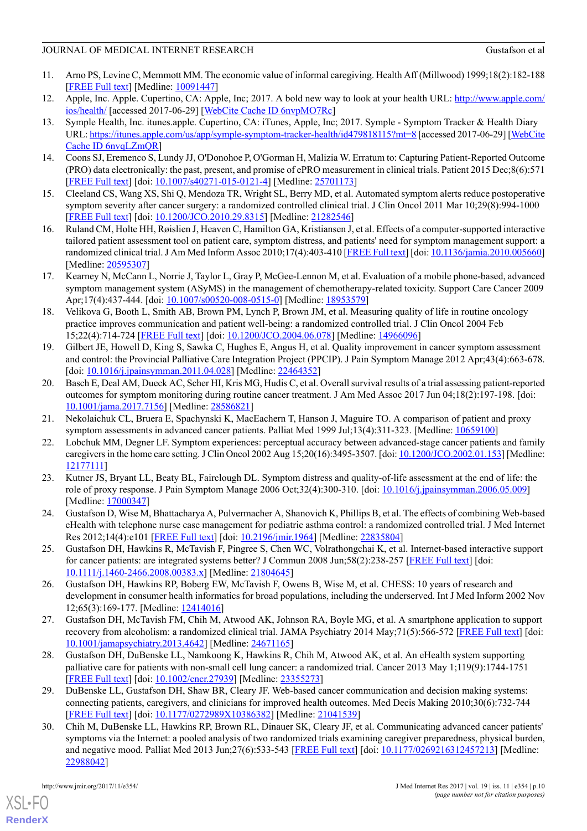- <span id="page-9-0"></span>11. Arno PS, Levine C, Memmott MM. The economic value of informal caregiving. Health Aff (Millwood) 1999;18(2):182-188 [[FREE Full text](http://content.healthaffairs.org/cgi/pmidlookup?view=long&pmid=10091447)] [Medline: [10091447](http://www.ncbi.nlm.nih.gov/entrez/query.fcgi?cmd=Retrieve&db=PubMed&list_uids=10091447&dopt=Abstract)]
- <span id="page-9-1"></span>12. Apple, Inc. Apple. Cupertino, CA: Apple, Inc; 2017. A bold new way to look at your health URL: [http://www.apple.com/](http://www.apple.com/ios/health/) [ios/health/](http://www.apple.com/ios/health/) [accessed 2017-06-29] [\[WebCite Cache ID 6nvpMO7Rc](http://www.webcitation.org/6nvpMO7Rc)]
- <span id="page-9-2"></span>13. Symple Health, Inc. itunes.apple. Cupertino, CA: iTunes, Apple, Inc; 2017. Symple - Symptom Tracker & Health Diary URL:<https://itunes.apple.com/us/app/symple-symptom-tracker-health/id479818115?mt=8> [accessed 2017-06-29] [\[WebCite](http://www.webcitation.org/6nvqLZmQR) [Cache ID 6nvqLZmQR\]](http://www.webcitation.org/6nvqLZmQR)
- <span id="page-9-4"></span><span id="page-9-3"></span>14. Coons SJ, Eremenco S, Lundy JJ, O'Donohoe P, O'Gorman H, Malizia W. Erratum to: Capturing Patient-Reported Outcome (PRO) data electronically: the past, present, and promise of ePRO measurement in clinical trials. Patient 2015 Dec;8(6):571 [[FREE Full text](http://europepmc.org/abstract/MED/25701173)] [doi: [10.1007/s40271-015-0121-4\]](http://dx.doi.org/10.1007/s40271-015-0121-4) [Medline: [25701173](http://www.ncbi.nlm.nih.gov/entrez/query.fcgi?cmd=Retrieve&db=PubMed&list_uids=25701173&dopt=Abstract)]
- 15. Cleeland CS, Wang XS, Shi Q, Mendoza TR, Wright SL, Berry MD, et al. Automated symptom alerts reduce postoperative symptom severity after cancer surgery: a randomized controlled clinical trial. J Clin Oncol 2011 Mar 10;29(8):994-1000 [[FREE Full text](http://europepmc.org/abstract/MED/21282546)] [doi: [10.1200/JCO.2010.29.8315](http://dx.doi.org/10.1200/JCO.2010.29.8315)] [Medline: [21282546\]](http://www.ncbi.nlm.nih.gov/entrez/query.fcgi?cmd=Retrieve&db=PubMed&list_uids=21282546&dopt=Abstract)
- 16. Ruland CM, Holte HH, Røislien J, Heaven C, Hamilton GA, Kristiansen J, et al. Effects of a computer-supported interactive tailored patient assessment tool on patient care, symptom distress, and patients' need for symptom management support: a randomized clinical trial. J Am Med Inform Assoc 2010;17(4):403-410 [\[FREE Full text](http://jamia.oxfordjournals.org/cgi/pmidlookup?view=long&pmid=20595307)] [doi: [10.1136/jamia.2010.005660](http://dx.doi.org/10.1136/jamia.2010.005660)] [Medline: [20595307](http://www.ncbi.nlm.nih.gov/entrez/query.fcgi?cmd=Retrieve&db=PubMed&list_uids=20595307&dopt=Abstract)]
- 17. Kearney N, McCann L, Norrie J, Taylor L, Gray P, McGee-Lennon M, et al. Evaluation of a mobile phone-based, advanced symptom management system (ASyMS) in the management of chemotherapy-related toxicity. Support Care Cancer 2009 Apr;17(4):437-444. [doi: [10.1007/s00520-008-0515-0](http://dx.doi.org/10.1007/s00520-008-0515-0)] [Medline: [18953579\]](http://www.ncbi.nlm.nih.gov/entrez/query.fcgi?cmd=Retrieve&db=PubMed&list_uids=18953579&dopt=Abstract)
- <span id="page-9-5"></span>18. Velikova G, Booth L, Smith AB, Brown PM, Lynch P, Brown JM, et al. Measuring quality of life in routine oncology practice improves communication and patient well-being: a randomized controlled trial. J Clin Oncol 2004 Feb 15;22(4):714-724 [[FREE Full text](http://jco.ascopubs.org/cgi/pmidlookup?view=long&pmid=14966096)] [doi: [10.1200/JCO.2004.06.078](http://dx.doi.org/10.1200/JCO.2004.06.078)] [Medline: [14966096\]](http://www.ncbi.nlm.nih.gov/entrez/query.fcgi?cmd=Retrieve&db=PubMed&list_uids=14966096&dopt=Abstract)
- <span id="page-9-6"></span>19. Gilbert JE, Howell D, King S, Sawka C, Hughes E, Angus H, et al. Quality improvement in cancer symptom assessment and control: the Provincial Palliative Care Integration Project (PPCIP). J Pain Symptom Manage 2012 Apr;43(4):663-678. [doi: [10.1016/j.jpainsymman.2011.04.028](http://dx.doi.org/10.1016/j.jpainsymman.2011.04.028)] [Medline: [22464352](http://www.ncbi.nlm.nih.gov/entrez/query.fcgi?cmd=Retrieve&db=PubMed&list_uids=22464352&dopt=Abstract)]
- <span id="page-9-7"></span>20. Basch E, Deal AM, Dueck AC, Scher HI, Kris MG, Hudis C, et al. Overall survival results of a trial assessing patient-reported outcomes for symptom monitoring during routine cancer treatment. J Am Med Assoc 2017 Jun 04;18(2):197-198. [doi: [10.1001/jama.2017.7156](http://dx.doi.org/10.1001/jama.2017.7156)] [Medline: [28586821\]](http://www.ncbi.nlm.nih.gov/entrez/query.fcgi?cmd=Retrieve&db=PubMed&list_uids=28586821&dopt=Abstract)
- <span id="page-9-8"></span>21. Nekolaichuk CL, Bruera E, Spachynski K, MacEachern T, Hanson J, Maguire TO. A comparison of patient and proxy symptom assessments in advanced cancer patients. Palliat Med 1999 Jul;13(4):311-323. [Medline: [10659100](http://www.ncbi.nlm.nih.gov/entrez/query.fcgi?cmd=Retrieve&db=PubMed&list_uids=10659100&dopt=Abstract)]
- 22. Lobchuk MM, Degner LF. Symptom experiences: perceptual accuracy between advanced-stage cancer patients and family caregivers in the home care setting. J Clin Oncol 2002 Aug 15;20(16):3495-3507. [doi: [10.1200/JCO.2002.01.153\]](http://dx.doi.org/10.1200/JCO.2002.01.153) [Medline: [12177111\]](http://www.ncbi.nlm.nih.gov/entrez/query.fcgi?cmd=Retrieve&db=PubMed&list_uids=12177111&dopt=Abstract)
- <span id="page-9-9"></span>23. Kutner JS, Bryant LL, Beaty BL, Fairclough DL. Symptom distress and quality-of-life assessment at the end of life: the role of proxy response. J Pain Symptom Manage 2006 Oct;32(4):300-310. [doi: [10.1016/j.jpainsymman.2006.05.009\]](http://dx.doi.org/10.1016/j.jpainsymman.2006.05.009) [Medline: [17000347](http://www.ncbi.nlm.nih.gov/entrez/query.fcgi?cmd=Retrieve&db=PubMed&list_uids=17000347&dopt=Abstract)]
- 24. Gustafson D, Wise M, Bhattacharya A, Pulvermacher A, Shanovich K, Phillips B, et al. The effects of combining Web-based eHealth with telephone nurse case management for pediatric asthma control: a randomized controlled trial. J Med Internet Res 2012;14(4):e101 [\[FREE Full text\]](http://www.jmir.org/2012/4/e101/) [doi: [10.2196/jmir.1964](http://dx.doi.org/10.2196/jmir.1964)] [Medline: [22835804\]](http://www.ncbi.nlm.nih.gov/entrez/query.fcgi?cmd=Retrieve&db=PubMed&list_uids=22835804&dopt=Abstract)
- <span id="page-9-10"></span>25. Gustafson DH, Hawkins R, McTavish F, Pingree S, Chen WC, Volrathongchai K, et al. Internet-based interactive support for cancer patients: are integrated systems better? J Commun 2008 Jun;58(2):238-257 [\[FREE Full text\]](http://europepmc.org/abstract/MED/21804645) [doi: [10.1111/j.1460-2466.2008.00383.x\]](http://dx.doi.org/10.1111/j.1460-2466.2008.00383.x) [Medline: [21804645](http://www.ncbi.nlm.nih.gov/entrez/query.fcgi?cmd=Retrieve&db=PubMed&list_uids=21804645&dopt=Abstract)]
- <span id="page-9-11"></span>26. Gustafson DH, Hawkins RP, Boberg EW, McTavish F, Owens B, Wise M, et al. CHESS: 10 years of research and development in consumer health informatics for broad populations, including the underserved. Int J Med Inform 2002 Nov 12;65(3):169-177. [Medline: [12414016\]](http://www.ncbi.nlm.nih.gov/entrez/query.fcgi?cmd=Retrieve&db=PubMed&list_uids=12414016&dopt=Abstract)
- <span id="page-9-12"></span>27. Gustafson DH, McTavish FM, Chih M, Atwood AK, Johnson RA, Boyle MG, et al. A smartphone application to support recovery from alcoholism: a randomized clinical trial. JAMA Psychiatry 2014 May;71(5):566-572 [\[FREE Full text\]](http://europepmc.org/abstract/MED/24671165) [doi: [10.1001/jamapsychiatry.2013.4642](http://dx.doi.org/10.1001/jamapsychiatry.2013.4642)] [Medline: [24671165](http://www.ncbi.nlm.nih.gov/entrez/query.fcgi?cmd=Retrieve&db=PubMed&list_uids=24671165&dopt=Abstract)]
- <span id="page-9-13"></span>28. Gustafson DH, DuBenske LL, Namkoong K, Hawkins R, Chih M, Atwood AK, et al. An eHealth system supporting palliative care for patients with non-small cell lung cancer: a randomized trial. Cancer 2013 May 1;119(9):1744-1751 [[FREE Full text](http://dx.doi.org/10.1002/cncr.27939)] [doi: [10.1002/cncr.27939\]](http://dx.doi.org/10.1002/cncr.27939) [Medline: [23355273\]](http://www.ncbi.nlm.nih.gov/entrez/query.fcgi?cmd=Retrieve&db=PubMed&list_uids=23355273&dopt=Abstract)
- 29. DuBenske LL, Gustafson DH, Shaw BR, Cleary JF. Web-based cancer communication and decision making systems: connecting patients, caregivers, and clinicians for improved health outcomes. Med Decis Making 2010;30(6):732-744 [[FREE Full text](http://europepmc.org/abstract/MED/21041539)] [doi: [10.1177/0272989X10386382\]](http://dx.doi.org/10.1177/0272989X10386382) [Medline: [21041539](http://www.ncbi.nlm.nih.gov/entrez/query.fcgi?cmd=Retrieve&db=PubMed&list_uids=21041539&dopt=Abstract)]
- 30. Chih M, DuBenske LL, Hawkins RP, Brown RL, Dinauer SK, Cleary JF, et al. Communicating advanced cancer patients' symptoms via the Internet: a pooled analysis of two randomized trials examining caregiver preparedness, physical burden, and negative mood. Palliat Med 2013 Jun;27(6):533-543 [\[FREE Full text\]](http://europepmc.org/abstract/MED/22988042) [doi: [10.1177/0269216312457213\]](http://dx.doi.org/10.1177/0269216312457213) [Medline: [22988042](http://www.ncbi.nlm.nih.gov/entrez/query.fcgi?cmd=Retrieve&db=PubMed&list_uids=22988042&dopt=Abstract)]